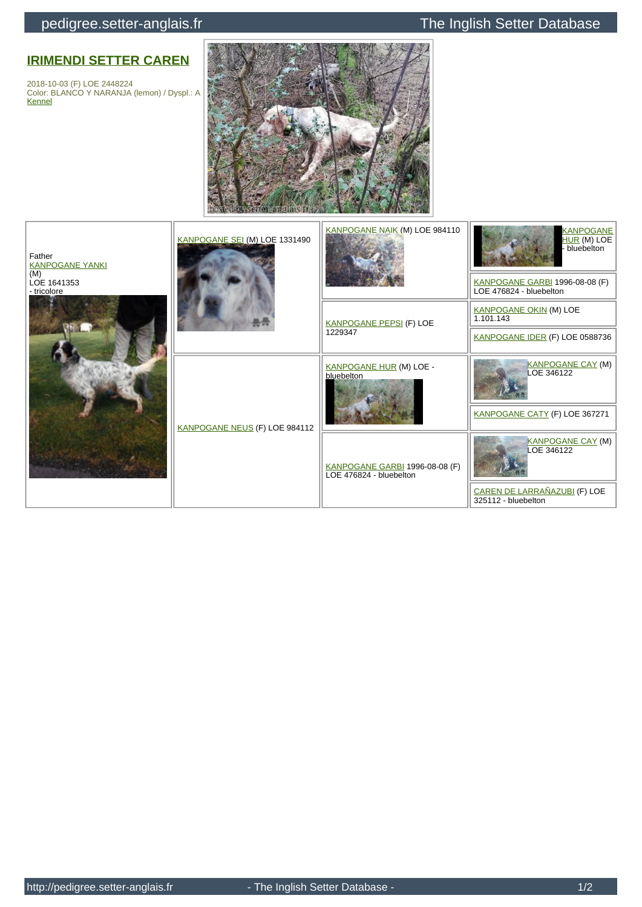## pedigree.setter-anglais.fr The Inglish Setter Database

## **[IRIMENDI SETTER CAREN](http://pedigree.setter-anglais.fr/genealogie/arbre.php?id=102501)**

2018-10-03 (F) LOE 2448224 Color: BLANCO Y NARANJA (lemon) / Dyspl.: A [Kennel](http://pedigree.setter-anglais.fr/genealogie/affixe.php?id=3936&URL=/genealogie/arbre_pdf.php?id=102501)



| Father<br><b>KANPOGANE YANKI</b><br>(M)<br>LOE 1641353<br>- tricolore | KANPOGANE SEI (M) LOE 1331490 | KANPOGANE NAIK (M) LOE 984110                             | <b>KANPOGANE</b><br>HUR (M) LOE<br>- bluebelton<br>KANPOGANE GARBI 1996-08-08 (F)<br>LOE 476824 - bluebelton |
|-----------------------------------------------------------------------|-------------------------------|-----------------------------------------------------------|--------------------------------------------------------------------------------------------------------------|
|                                                                       |                               | <b>KANPOGANE PEPSI (F) LOE</b><br>1229347                 | <b>KANPOGANE OKIN (M) LOE</b><br>1.101.143                                                                   |
|                                                                       |                               |                                                           | KANPOGANE IDER (F) LOE 0588736                                                                               |
|                                                                       | KANPOGANE NEUS (F) LOE 984112 | <b>KANPOGANE HUR (M) LOE -</b><br>bluebelton              | <b>KANPOGANE CAY (M)</b><br>LOE 346122                                                                       |
|                                                                       |                               |                                                           | KANPOGANE CATY (F) LOE 367271                                                                                |
|                                                                       |                               | KANPOGANE GARBI 1996-08-08 (F)<br>LOE 476824 - bluebelton | <b>KANPOGANE CAY (M)</b><br>LOE 346122                                                                       |
|                                                                       |                               |                                                           | CAREN DE LARRAÑAZUBI (F) LOE<br>325112 - bluebelton                                                          |